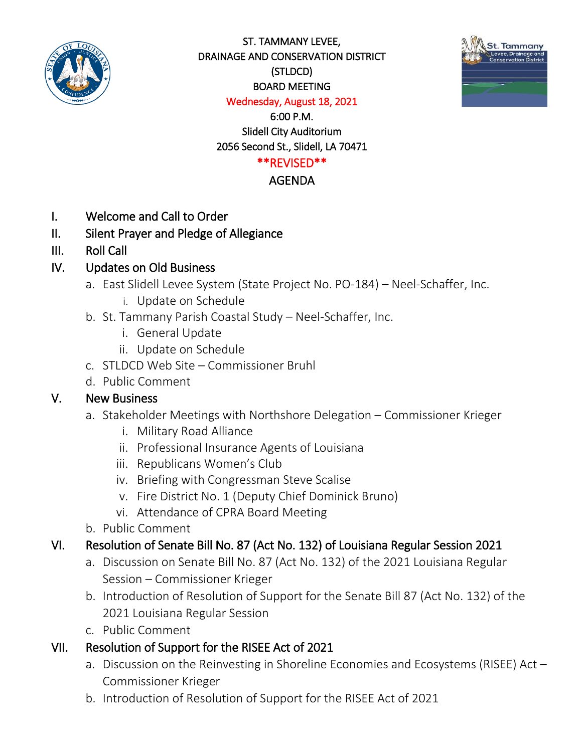

ST. TAMMANY LEVEE, DRAINAGE AND CONSERVATION DISTRICT (STLDCD) BOARD MEETING Wednesday, August 18, 2021



6:00 P.M.

Slidell City Auditorium 2056 Second St., Slidell, LA 70471

### \*\*REVISED\*\*

#### AGENDA

- I. Welcome and Call to Order
- II. Silent Prayer and Pledge of Allegiance
- III. Roll Call

## IV. Updates on Old Business

- a. East Slidell Levee System (State Project No. PO-184) Neel-Schaffer, Inc.
	- i. Update on Schedule
- b. St. Tammany Parish Coastal Study Neel-Schaffer, Inc.
	- i. General Update
	- ii. Update on Schedule
- c. STLDCD Web Site Commissioner Bruhl
- d. Public Comment

#### V. New Business

- a. Stakeholder Meetings with Northshore Delegation Commissioner Krieger
	- i. Military Road Alliance
	- ii. Professional Insurance Agents of Louisiana
	- iii. Republicans Women's Club
	- iv. Briefing with Congressman Steve Scalise
	- v. Fire District No. 1 (Deputy Chief Dominick Bruno)
	- vi. Attendance of CPRA Board Meeting
- b. Public Comment

## VI. Resolution of Senate Bill No. 87 (Act No. 132) of Louisiana Regular Session 2021

- a. Discussion on Senate Bill No. 87 (Act No. 132) of the 2021 Louisiana Regular Session – Commissioner Krieger
- b. Introduction of Resolution of Support for the Senate Bill 87 (Act No. 132) of the 2021 Louisiana Regular Session
- c. Public Comment

## VII. Resolution of Support for the RISEE Act of 2021

- a. Discussion on the Reinvesting in Shoreline Economies and Ecosystems (RISEE) Act Commissioner Krieger
- b. Introduction of Resolution of Support for the RISEE Act of 2021